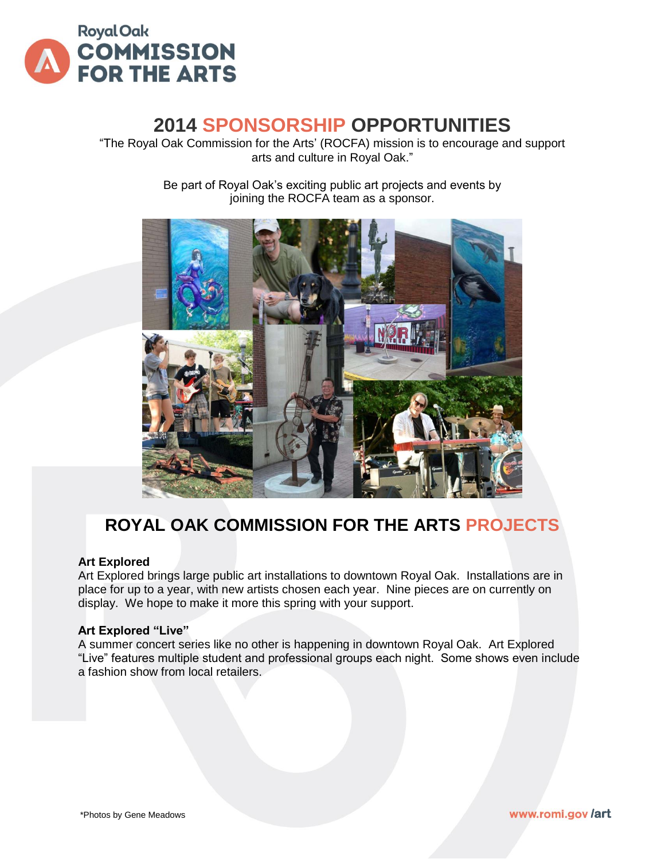

# **2014 SPONSORSHIP OPPORTUNITIES**

"The Royal Oak Commission for the Arts' (ROCFA) mission is to encourage and support arts and culture in Royal Oak."

> Be part of Royal Oak's exciting public art projects and events by joining the ROCFA team as a sponsor.



# **ROYAL OAK COMMISSION FOR THE ARTS PROJECTS**

#### **Art Explored**

Art Explored brings large public art installations to downtown Royal Oak. Installations are in place for up to a year, with new artists chosen each year. Nine pieces are on currently on display. We hope to make it more this spring with your support.

#### **Art Explored "Live"**

A summer concert series like no other is happening in downtown Royal Oak. Art Explored "Live" features multiple student and professional groups each night. Some shows even include a fashion show from local retailers.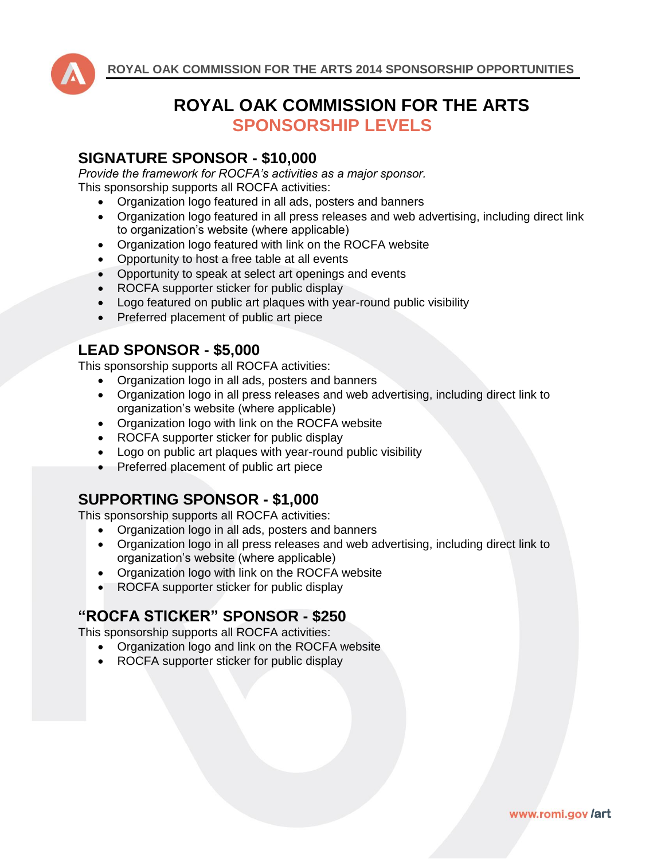

## **ROYAL OAK COMMISSION FOR THE ARTS SPONSORSHIP LEVELS**

#### **SIGNATURE SPONSOR - \$10,000**

*Provide the framework for ROCFA's activities as a major sponsor.* This sponsorship supports all ROCFA activities:

- Organization logo featured in all ads, posters and banners
- Organization logo featured in all press releases and web advertising, including direct link to organization's website (where applicable)
- Organization logo featured with link on the ROCFA website
- Opportunity to host a free table at all events
- Opportunity to speak at select art openings and events
- ROCFA supporter sticker for public display
- Logo featured on public art plaques with year-round public visibility
- Preferred placement of public art piece

### **LEAD SPONSOR - \$5,000**

This sponsorship supports all ROCFA activities:

- Organization logo in all ads, posters and banners
- Organization logo in all press releases and web advertising, including direct link to organization's website (where applicable)
- Organization logo with link on the ROCFA website
- ROCFA supporter sticker for public display
- Logo on public art plaques with year-round public visibility
- Preferred placement of public art piece

### **SUPPORTING SPONSOR - \$1,000**

This sponsorship supports all ROCFA activities:

- Organization logo in all ads, posters and banners
- Organization logo in all press releases and web advertising, including direct link to organization's website (where applicable)

www.romi.gov/art

- Organization logo with link on the ROCFA website
- ROCFA supporter sticker for public display

### **"ROCFA STICKER" SPONSOR - \$250**

This sponsorship supports all ROCFA activities:

- Organization logo and link on the ROCFA website
- ROCFA supporter sticker for public display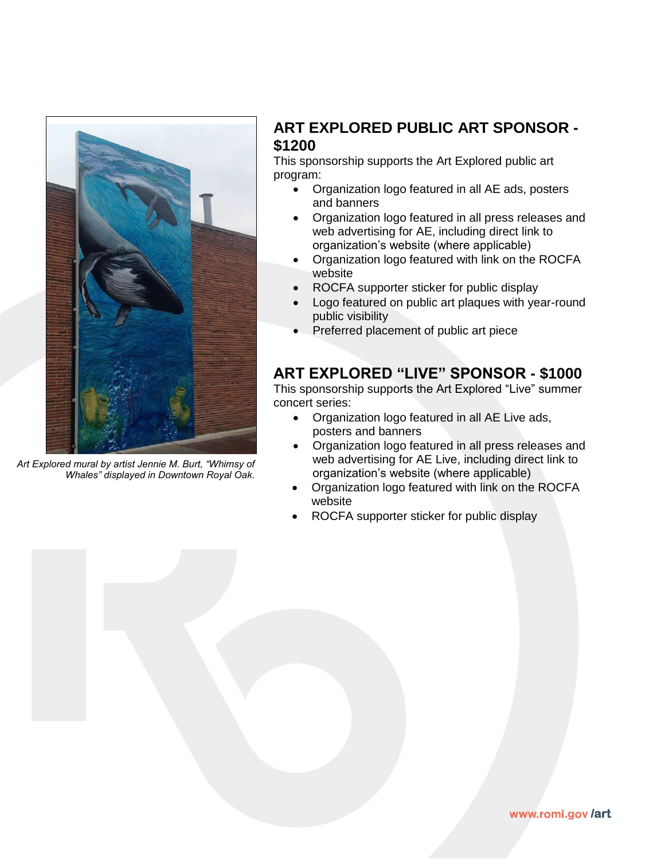

*Art Explored mural by artist Jennie M. Burt, "Whimsy of Whales" displayed in Downtown Royal Oak.*

## **ART EXPLORED PUBLIC ART SPONSOR - \$1200**

This sponsorship supports the Art Explored public art program:

- Organization logo featured in all AE ads, posters and banners
- Organization logo featured in all press releases and web advertising for AE, including direct link to organization's website (where applicable)
- Organization logo featured with link on the ROCFA website
- ROCFA supporter sticker for public display
- Logo featured on public art plaques with year-round public visibility
- Preferred placement of public art piece

### **ART EXPLORED "LIVE" SPONSOR - \$1000**

This sponsorship supports the Art Explored "Live" summer concert series:

- Organization logo featured in all AE Live ads, posters and banners
- Organization logo featured in all press releases and web advertising for AE Live, including direct link to organization's website (where applicable)
- Organization logo featured with link on the ROCFA website
- ROCFA supporter sticker for public display